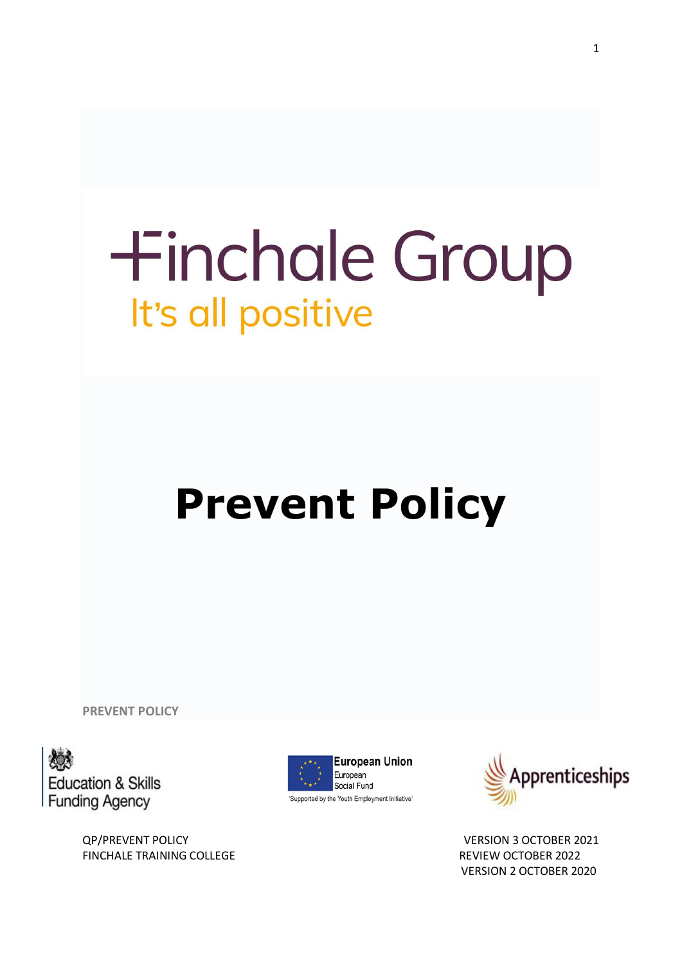# **+inchale Group** It's all positive

# **Prevent Policy**

**PREVENT POLICY**



QP/PREVENT POLICY VERSION 3 OCTOBER 2021 FINCHALE TRAINING COLLEGE **REVIEW OCTOBER 2022** 



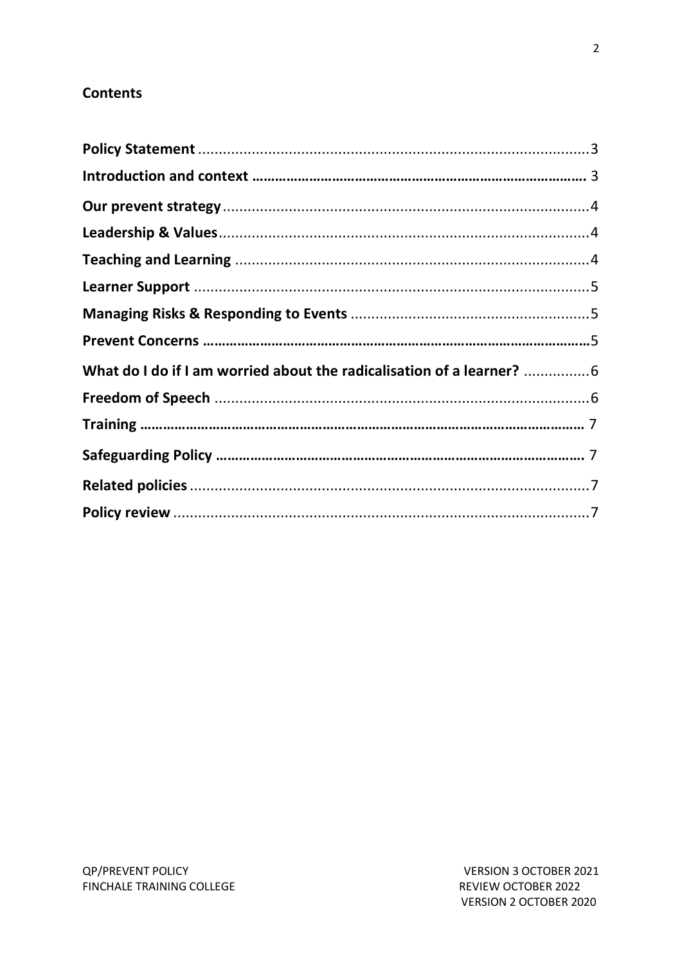# **Contents**

| What do I do if I am worried about the radicalisation of a learner? 6 |  |
|-----------------------------------------------------------------------|--|
|                                                                       |  |
|                                                                       |  |
|                                                                       |  |
|                                                                       |  |
|                                                                       |  |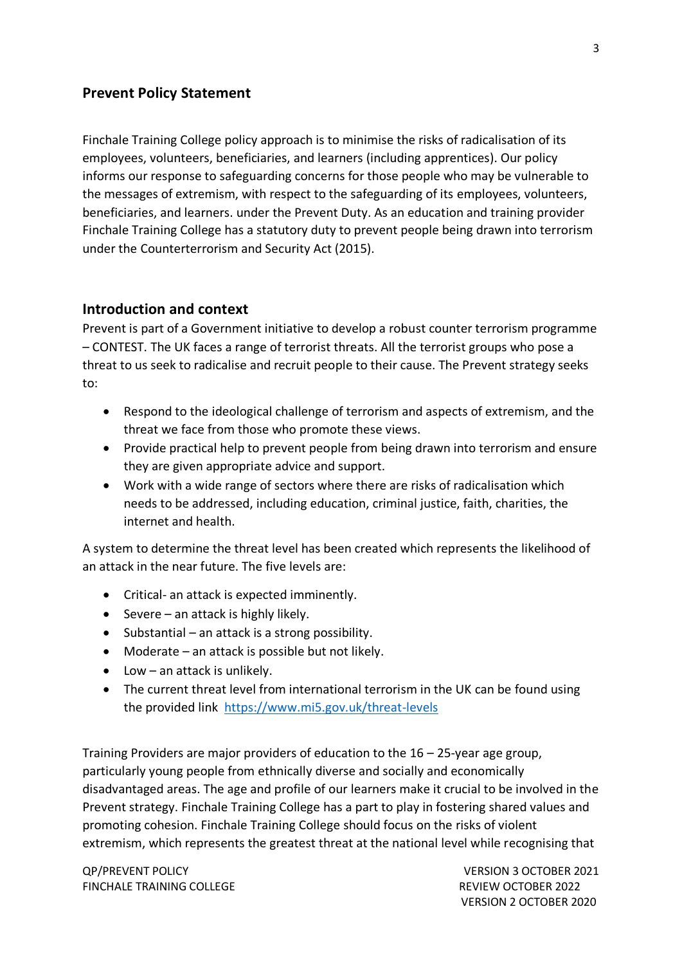#### <span id="page-2-0"></span>**Prevent Policy Statement**

Finchale Training College policy approach is to minimise the risks of radicalisation of its employees, volunteers, beneficiaries, and learners (including apprentices). Our policy informs our response to safeguarding concerns for those people who may be vulnerable to the messages of extremism, with respect to the safeguarding of its employees, volunteers, beneficiaries, and learners. under the Prevent Duty. As an education and training provider Finchale Training College has a statutory duty to prevent people being drawn into terrorism under the Counterterrorism and Security Act (2015).

#### **Introduction and context**

Prevent is part of a Government initiative to develop a robust counter terrorism programme – CONTEST. The UK faces a range of terrorist threats. All the terrorist groups who pose a threat to us seek to radicalise and recruit people to their cause. The Prevent strategy seeks to:

- Respond to the ideological challenge of terrorism and aspects of extremism, and the threat we face from those who promote these views.
- Provide practical help to prevent people from being drawn into terrorism and ensure they are given appropriate advice and support.
- Work with a wide range of sectors where there are risks of radicalisation which needs to be addressed, including education, criminal justice, faith, charities, the internet and health.

A system to determine the threat level has been created which represents the likelihood of an attack in the near future. The five levels are:

- Critical- an attack is expected imminently.
- Severe an attack is highly likely.
- Substantial an attack is a strong possibility.
- Moderate an attack is possible but not likely.
- Low an attack is unlikely.
- The current threat level from international terrorism in the UK can be found using the provided link <https://www.mi5.gov.uk/threat-levels>

Training Providers are major providers of education to the 16 – 25-year age group, particularly young people from ethnically diverse and socially and economically disadvantaged areas. The age and profile of our learners make it crucial to be involved in the Prevent strategy. Finchale Training College has a part to play in fostering shared values and promoting cohesion. Finchale Training College should focus on the risks of violent extremism, which represents the greatest threat at the national level while recognising that

QP/PREVENT POLICY VERSION 3 OCTOBER 2021 FINCHALE TRAINING COLLEGE **REVIEW OCTOBER 2022**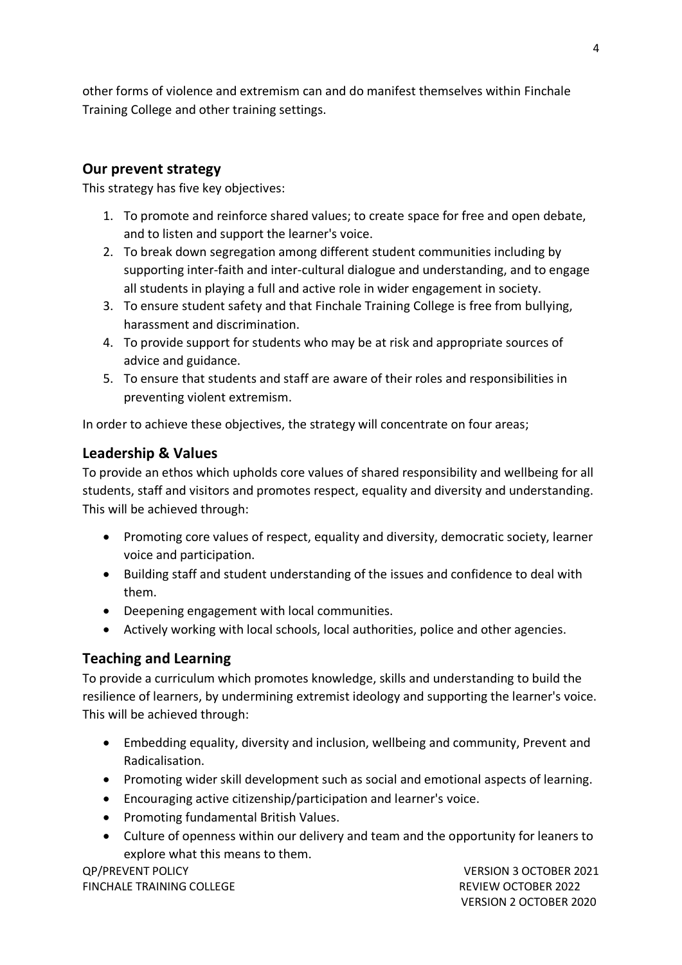other forms of violence and extremism can and do manifest themselves within Finchale Training College and other training settings.

# <span id="page-3-0"></span>**Our prevent strategy**

This strategy has five key objectives:

- 1. To promote and reinforce shared values; to create space for free and open debate, and to listen and support the learner's voice.
- 2. To break down segregation among different student communities including by supporting inter-faith and inter-cultural dialogue and understanding, and to engage all students in playing a full and active role in wider engagement in society.
- 3. To ensure student safety and that Finchale Training College is free from bullying, harassment and discrimination.
- 4. To provide support for students who may be at risk and appropriate sources of advice and guidance.
- 5. To ensure that students and staff are aware of their roles and responsibilities in preventing violent extremism.

In order to achieve these objectives, the strategy will concentrate on four areas;

## <span id="page-3-1"></span>**Leadership & Values**

To provide an ethos which upholds core values of shared responsibility and wellbeing for all students, staff and visitors and promotes respect, equality and diversity and understanding. This will be achieved through:

- Promoting core values of respect, equality and diversity, democratic society, learner voice and participation.
- Building staff and student understanding of the issues and confidence to deal with them.
- Deepening engagement with local communities.
- Actively working with local schools, local authorities, police and other agencies.

# <span id="page-3-2"></span>**Teaching and Learning**

To provide a curriculum which promotes knowledge, skills and understanding to build the resilience of learners, by undermining extremist ideology and supporting the learner's voice. This will be achieved through:

- Embedding equality, diversity and inclusion, wellbeing and community, Prevent and Radicalisation.
- Promoting wider skill development such as social and emotional aspects of learning.
- Encouraging active citizenship/participation and learner's voice.
- Promoting fundamental British Values.
- Culture of openness within our delivery and team and the opportunity for leaners to explore what this means to them.

QP/PREVENT POLICY VERSION 3 OCTOBER 2021 FINCHALE TRAINING COLLEGE **REVIEW OCTOBER 2022**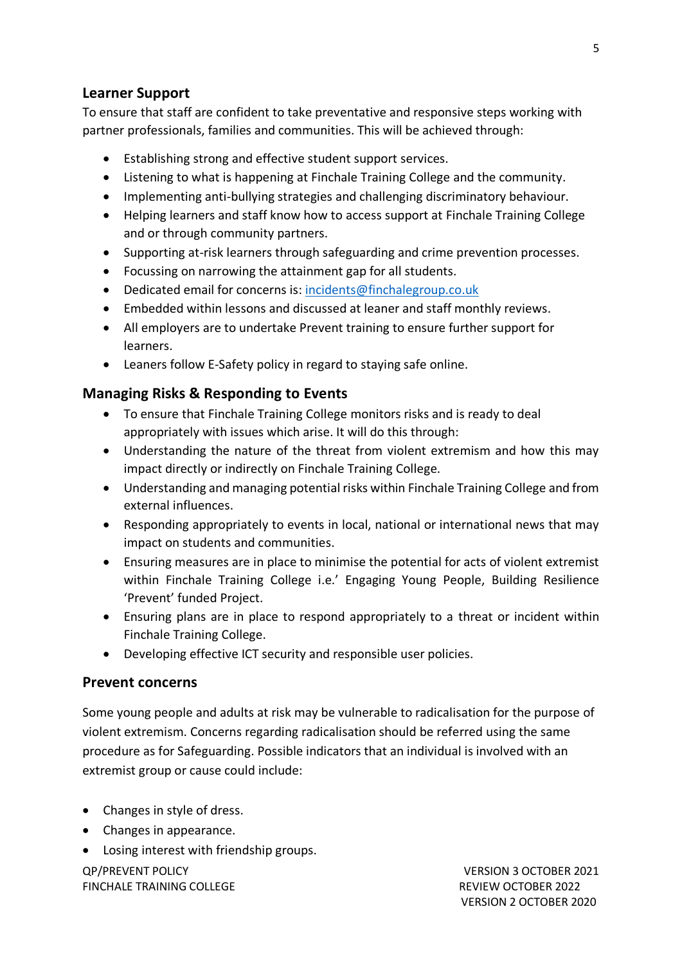## <span id="page-4-0"></span>**Learner Support**

To ensure that staff are confident to take preventative and responsive steps working with partner professionals, families and communities. This will be achieved through:

- Establishing strong and effective student support services.
- Listening to what is happening at Finchale Training College and the community.
- Implementing anti-bullying strategies and challenging discriminatory behaviour.
- Helping learners and staff know how to access support at Finchale Training College and or through community partners.
- Supporting at-risk learners through safeguarding and crime prevention processes.
- Focussing on narrowing the attainment gap for all students.
- Dedicated email for concerns is: [incidents@finchalegroup.co.uk](mailto:incidents@finchalegroup.co.uk)
- Embedded within lessons and discussed at leaner and staff monthly reviews.
- All employers are to undertake Prevent training to ensure further support for learners.
- Leaners follow E-Safety policy in regard to staying safe online.

#### <span id="page-4-1"></span>**Managing Risks & Responding to Events**

- To ensure that Finchale Training College monitors risks and is ready to deal appropriately with issues which arise. It will do this through:
- Understanding the nature of the threat from violent extremism and how this may impact directly or indirectly on Finchale Training College.
- Understanding and managing potential risks within Finchale Training College and from external influences.
- Responding appropriately to events in local, national or international news that may impact on students and communities.
- Ensuring measures are in place to minimise the potential for acts of violent extremist within Finchale Training College i.e.' Engaging Young People, Building Resilience 'Prevent' funded Project.
- Ensuring plans are in place to respond appropriately to a threat or incident within Finchale Training College.
- Developing effective ICT security and responsible user policies.

#### **Prevent concerns**

Some young people and adults at risk may be vulnerable to radicalisation for the purpose of violent extremism. Concerns regarding radicalisation should be referred using the same procedure as for Safeguarding. Possible indicators that an individual is involved with an extremist group or cause could include:

- Changes in style of dress.
- Changes in appearance.
- Losing interest with friendship groups.

QP/PREVENT POLICY VERSION 3 OCTOBER 2021 FINCHALE TRAINING COLLEGE **REVIEW OCTOBER 2022**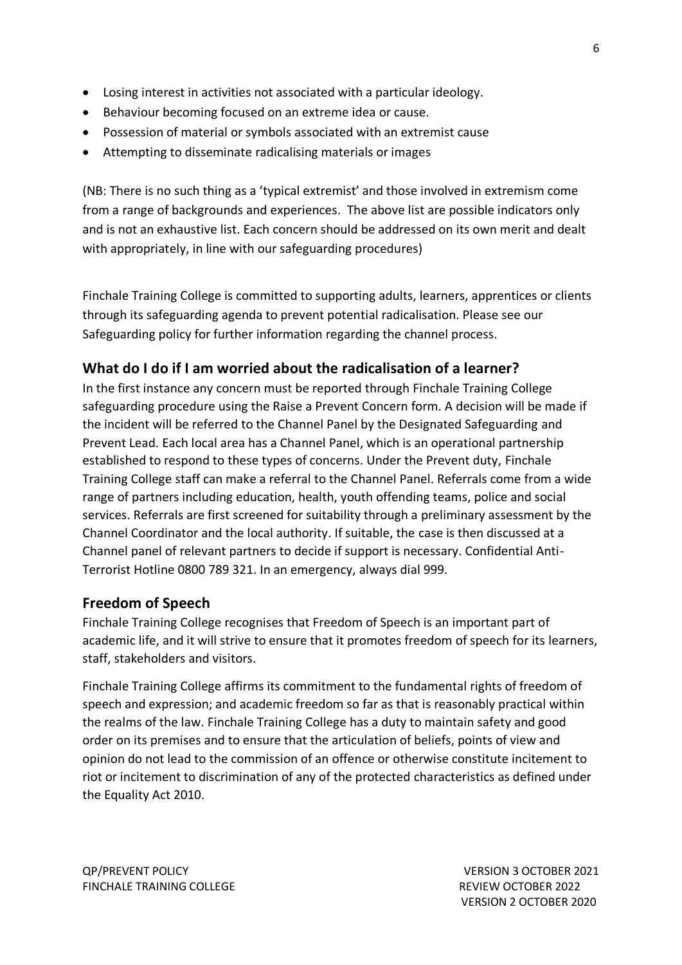- Losing interest in activities not associated with a particular ideology.
- Behaviour becoming focused on an extreme idea or cause.
- Possession of material or symbols associated with an extremist cause
- Attempting to disseminate radicalising materials or images

(NB: There is no such thing as a 'typical extremist' and those involved in extremism come from a range of backgrounds and experiences. The above list are possible indicators only and is not an exhaustive list. Each concern should be addressed on its own merit and dealt with appropriately, in line with our safeguarding procedures)

<span id="page-5-0"></span>Finchale Training College is committed to supporting adults, learners, apprentices or clients through its safeguarding agenda to prevent potential radicalisation. Please see our Safeguarding policy for further information regarding the channel process.

# **What do I do if I am worried about the radicalisation of a learner?**

In the first instance any concern must be reported through Finchale Training College safeguarding procedure using the Raise a Prevent Concern form. A decision will be made if the incident will be referred to the Channel Panel by the Designated Safeguarding and Prevent Lead. Each local area has a Channel Panel, which is an operational partnership established to respond to these types of concerns. Under the Prevent duty, Finchale Training College staff can make a referral to the Channel Panel. Referrals come from a wide range of partners including education, health, youth offending teams, police and social services. Referrals are first screened for suitability through a preliminary assessment by the Channel Coordinator and the local authority. If suitable, the case is then discussed at a Channel panel of relevant partners to decide if support is necessary. Confidential Anti-Terrorist Hotline 0800 789 321. In an emergency, always dial 999.

#### <span id="page-5-1"></span>**Freedom of Speech**

Finchale Training College recognises that Freedom of Speech is an important part of academic life, and it will strive to ensure that it promotes freedom of speech for its learners, staff, stakeholders and visitors.

Finchale Training College affirms its commitment to the fundamental rights of freedom of speech and expression; and academic freedom so far as that is reasonably practical within the realms of the law. Finchale Training College has a duty to maintain safety and good order on its premises and to ensure that the articulation of beliefs, points of view and opinion do not lead to the commission of an offence or otherwise constitute incitement to riot or incitement to discrimination of any of the protected characteristics as defined under the Equality Act 2010.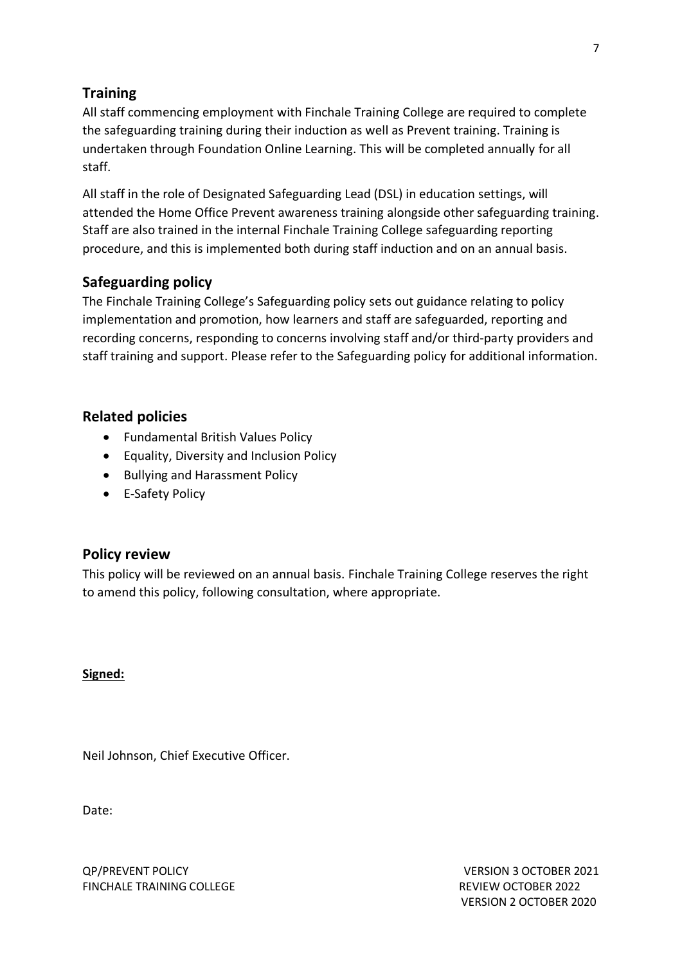# **Training**

All staff commencing employment with Finchale Training College are required to complete the safeguarding training during their induction as well as Prevent training. Training is undertaken through Foundation Online Learning. This will be completed annually for all staff.

All staff in the role of Designated Safeguarding Lead (DSL) in education settings, will attended the Home Office Prevent awareness training alongside other safeguarding training. Staff are also trained in the internal Finchale Training College safeguarding reporting procedure, and this is implemented both during staff induction and on an annual basis.

# <span id="page-6-0"></span>**Safeguarding policy**

The Finchale Training College's Safeguarding policy sets out guidance relating to policy implementation and promotion, how learners and staff are safeguarded, reporting and recording concerns, responding to concerns involving staff and/or third-party providers and staff training and support. Please refer to the Safeguarding policy for additional information.

# **Related policies**

- Fundamental British Values Policy
- Equality, Diversity and Inclusion Policy
- Bullying and Harassment Policy
- E-Safety Policy

# <span id="page-6-1"></span>**Policy review**

This policy will be reviewed on an annual basis. Finchale Training College reserves the right to amend this policy, following consultation, where appropriate.

**Signed:**

Neil Johnson, Chief Executive Officer.

Date: